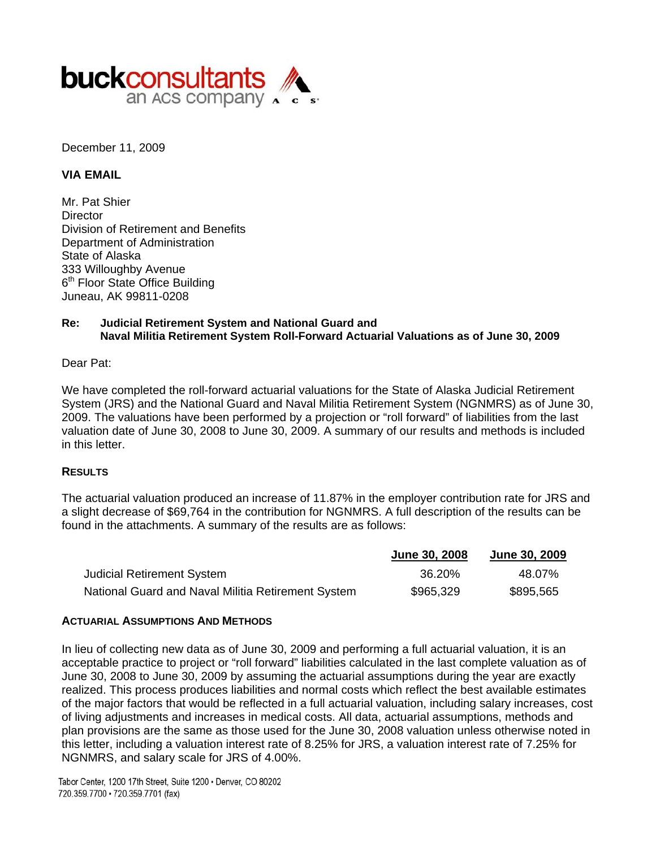

December 11, 2009

#### **VIA EMAIL**

Mr. Pat Shier **Director** Division of Retirement and Benefits Department of Administration State of Alaska 333 Willoughby Avenue 6<sup>th</sup> Floor State Office Building Juneau, AK 99811-0208

### **Re: Judicial Retirement System and National Guard and Naval Militia Retirement System Roll-Forward Actuarial Valuations as of June 30, 2009**

#### Dear Pat:

We have completed the roll-forward actuarial valuations for the State of Alaska Judicial Retirement System (JRS) and the National Guard and Naval Militia Retirement System (NGNMRS) as of June 30, 2009. The valuations have been performed by a projection or "roll forward" of liabilities from the last valuation date of June 30, 2008 to June 30, 2009. A summary of our results and methods is included in this letter.

#### **RESULTS**

The actuarial valuation produced an increase of 11.87% in the employer contribution rate for JRS and a slight decrease of \$69,764 in the contribution for NGNMRS. A full description of the results can be found in the attachments. A summary of the results are as follows:

|                                                    | June 30, 2008 | <b>June 30, 2009</b> |
|----------------------------------------------------|---------------|----------------------|
| Judicial Retirement System                         | 36.20%        | 48.07%               |
| National Guard and Naval Militia Retirement System | \$965,329     | \$895,565            |

#### **ACTUARIAL ASSUMPTIONS AND METHODS**

In lieu of collecting new data as of June 30, 2009 and performing a full actuarial valuation, it is an acceptable practice to project or "roll forward" liabilities calculated in the last complete valuation as of June 30, 2008 to June 30, 2009 by assuming the actuarial assumptions during the year are exactly realized. This process produces liabilities and normal costs which reflect the best available estimates of the major factors that would be reflected in a full actuarial valuation, including salary increases, cost of living adjustments and increases in medical costs. All data, actuarial assumptions, methods and plan provisions are the same as those used for the June 30, 2008 valuation unless otherwise noted in this letter, including a valuation interest rate of 8.25% for JRS, a valuation interest rate of 7.25% for NGNMRS, and salary scale for JRS of 4.00%.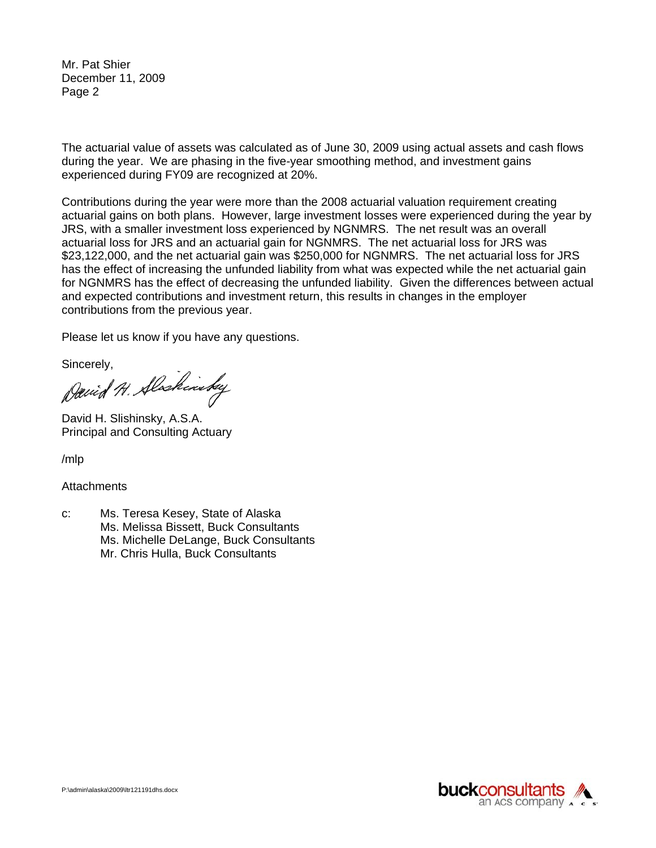Mr. Pat Shier December 11, 2009 Page 2

The actuarial value of assets was calculated as of June 30, 2009 using actual assets and cash flows during the year. We are phasing in the five-year smoothing method, and investment gains experienced during FY09 are recognized at 20%.

Contributions during the year were more than the 2008 actuarial valuation requirement creating actuarial gains on both plans. However, large investment losses were experienced during the year by JRS, with a smaller investment loss experienced by NGNMRS. The net result was an overall actuarial loss for JRS and an actuarial gain for NGNMRS. The net actuarial loss for JRS was \$23,122,000, and the net actuarial gain was \$250,000 for NGNMRS. The net actuarial loss for JRS has the effect of increasing the unfunded liability from what was expected while the net actuarial gain for NGNMRS has the effect of decreasing the unfunded liability. Given the differences between actual and expected contributions and investment return, this results in changes in the employer contributions from the previous year.

Please let us know if you have any questions.

Sincerely,<br>David H. Slackinsky

David H. Slishinsky, A.S.A. Principal and Consulting Actuary

/mlp

**Attachments** 

c: Ms. Teresa Kesey, State of Alaska Ms. Melissa Bissett, Buck Consultants Ms. Michelle DeLange, Buck Consultants Mr. Chris Hulla, Buck Consultants

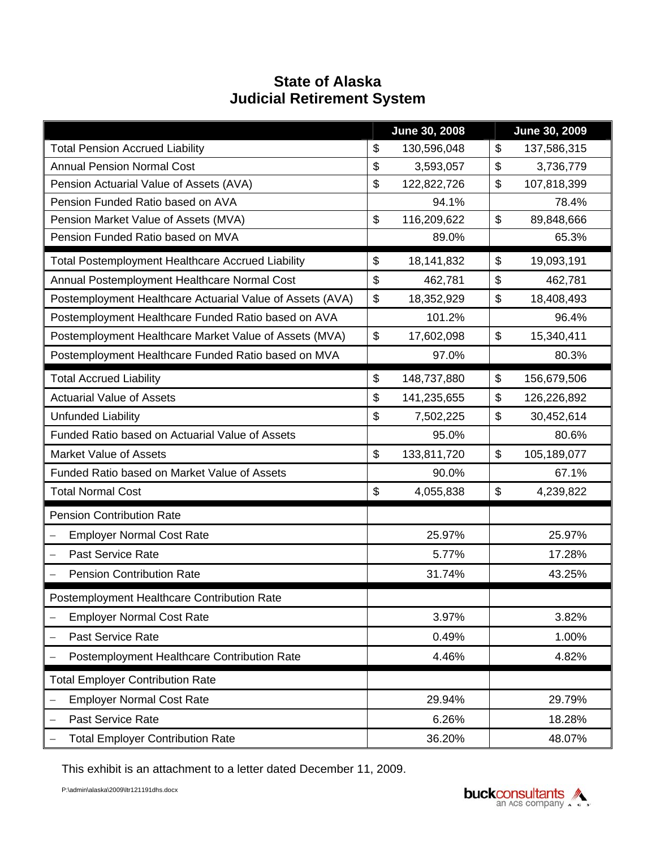# **State of Alaska Judicial Retirement System**

|                                                           |               | June 30, 2008 | June 30, 2009 |             |  |
|-----------------------------------------------------------|---------------|---------------|---------------|-------------|--|
| <b>Total Pension Accrued Liability</b>                    | \$            | 130,596,048   | \$            | 137,586,315 |  |
| <b>Annual Pension Normal Cost</b>                         | \$            | 3,593,057     | \$            | 3,736,779   |  |
| Pension Actuarial Value of Assets (AVA)                   | \$            | 122,822,726   | \$            | 107,818,399 |  |
| Pension Funded Ratio based on AVA                         |               | 94.1%         |               | 78.4%       |  |
| Pension Market Value of Assets (MVA)                      | \$            | 116,209,622   | \$            | 89,848,666  |  |
| Pension Funded Ratio based on MVA                         |               | 89.0%         |               | 65.3%       |  |
| <b>Total Postemployment Healthcare Accrued Liability</b>  | $\frac{1}{2}$ | 18,141,832    | $\$\$         | 19,093,191  |  |
| Annual Postemployment Healthcare Normal Cost              | \$            | 462,781       | \$            | 462,781     |  |
| Postemployment Healthcare Actuarial Value of Assets (AVA) | \$            | 18,352,929    |               | 18,408,493  |  |
| Postemployment Healthcare Funded Ratio based on AVA       |               | 101.2%        |               | 96.4%       |  |
| Postemployment Healthcare Market Value of Assets (MVA)    | \$            | 17,602,098    |               | 15,340,411  |  |
| Postemployment Healthcare Funded Ratio based on MVA       | 97.0%         |               |               | 80.3%       |  |
| <b>Total Accrued Liability</b>                            | $\frac{1}{2}$ | 148,737,880   | \$            | 156,679,506 |  |
| <b>Actuarial Value of Assets</b>                          | \$            | 141,235,655   | \$            | 126,226,892 |  |
| Unfunded Liability                                        | \$            | 7,502,225     | \$            | 30,452,614  |  |
| Funded Ratio based on Actuarial Value of Assets           |               | 95.0%         |               | 80.6%       |  |
| <b>Market Value of Assets</b>                             | $\$\$         | 133,811,720   | $\$\$         | 105,189,077 |  |
| Funded Ratio based on Market Value of Assets              |               | 90.0%         |               | 67.1%       |  |
| <b>Total Normal Cost</b>                                  | \$            | 4,055,838     | \$            | 4,239,822   |  |
| <b>Pension Contribution Rate</b>                          |               |               |               |             |  |
| <b>Employer Normal Cost Rate</b>                          |               | 25.97%        |               | 25.97%      |  |
| Past Service Rate<br>$\qquad \qquad -$                    |               | 5.77%         |               | 17.28%      |  |
| <b>Pension Contribution Rate</b>                          |               | 31.74%        |               | 43.25%      |  |
| Postemployment Healthcare Contribution Rate               |               |               |               |             |  |
| <b>Employer Normal Cost Rate</b>                          |               | 3.97%         |               | 3.82%       |  |
| Past Service Rate                                         |               | 0.49%         |               | 1.00%       |  |
| Postemployment Healthcare Contribution Rate               | 4.46%         |               | 4.82%         |             |  |
| <b>Total Employer Contribution Rate</b>                   |               |               |               |             |  |
| <b>Employer Normal Cost Rate</b>                          |               | 29.94%        |               | 29.79%      |  |
| Past Service Rate                                         | 6.26%         |               | 18.28%        |             |  |
| <b>Total Employer Contribution Rate</b>                   | 36.20%        |               |               | 48.07%      |  |

This exhibit is an attachment to a letter dated December 11, 2009.

P:\admin\alaska\2009\ltr121191dhs.docx